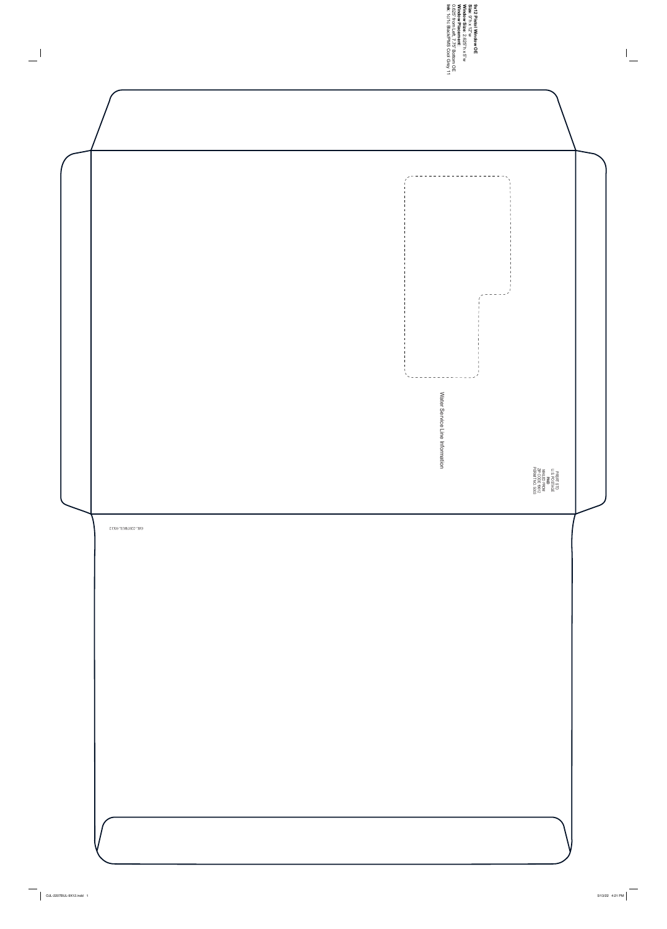**Size 9x12 Pistol Window OE** : 9"h x 12"w **Window Size**: 2.625"h x 5"w **Window Placement**: **Ink** 0.625" from Left, 7.75" Bottom OE : 1c/1c Black/PMS Cool Grey 11

 $\overline{\mathbb{L}}$ 



 $\overline{\phantom{m}}$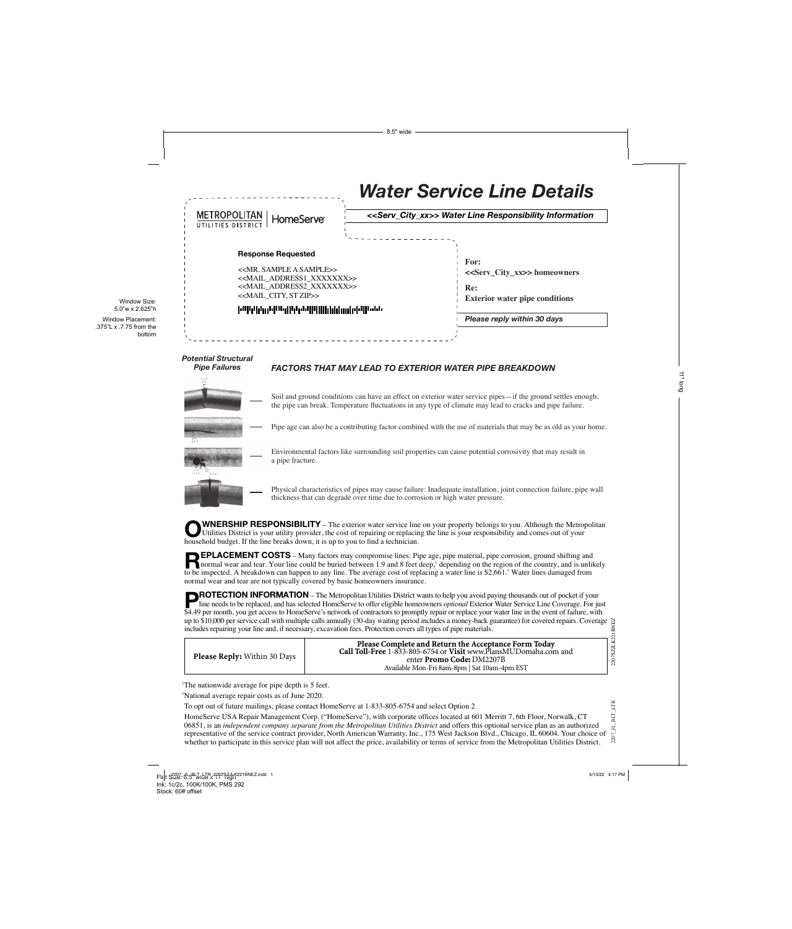|                                                           | <b>Water Service Line Details</b>                                                                                                        |  |
|-----------------------------------------------------------|------------------------------------------------------------------------------------------------------------------------------------------|--|
| <b>METROPOLITAN</b><br>HomeServe®<br>UTILITIES DISTRICT   | < <serv_city_xx>&gt; Water Line Responsibility Information</serv_city_xx>                                                                |  |
| <b>Response Requested</b><br>$<. SAMPLE A SAMPLE>><><><>$ | For:<br>< <serv_city_xx>&gt; homeowners<br/>Re:<br/><b>Exterior water pipe conditions</b><br/>Please reply within 30 days</serv_city_xx> |  |

# *Potential Structural*

# *Pipe Failures FACTORS THAT MAY LEAD TO EXTERIOR WATER PIPE BREAKDOWN*



Environmental factors like surrounding soil properties can cause potential corrosivity that may result in a pipe fracture.

Physical characteristics of pipes may cause failure: Inadequate installation, joint connection failure, pipe wall thickness that can degrade over time due to corrosion or high water pressure.

WNERSHIP RESPONSIBILITY – The exterior water service line on your property belongs to you. Although the Metropolitan Utilities District is your utility provider, the cost of repairing or replacing the line is your responsibility and comes out of your household budget. If the line breaks down, it is up to you to find a technician.

**EPLACEMENT COSTS** – Many factors may compromise lines: Pipe age, pipe material, pipe corrosion, ground shifting and<br>normal wear and tear. Your line could be buried between 1.9 and 8 feet deep,<sup>†</sup> depending on the region o to be inspected. A breakdown can happen to any line. The average cost of replacing a water line is \$2,661.\* Water lines damaged from normal wear and tear are not typically covered by basic homeowners insurance.

**ROTECTION INFORMATION** – The Metropolitan Utilities District wants to help you avoid paying thousands out of pocket if your line needs to be replaced, and has selected HomeServe to offer eligible homeowners *optional* Exterior Water Service Line Coverage. For just \$4.49 per month, you get access to HomeServe's network of contractors to promptly repair or replace your water line in the event of failure, with up to \$10,000 per service call with multiple calls annually (30-day waiting period includes a money-back guarantee) for covered repairs. Coverage  $\triangle$ includes repairing your line and, if necessary, excavation fees. Protection covers all types of pipe materials.

| <b>Please Reply:</b> Within 30 Days | Please Complete and Return the Acceptance Form Today<br>Call Toll-Free 1-833-805-6754 or Visit www.PlansMUDomaha.com and<br>enter <b>Promo Code:</b> DM2207B<br>Available Mon-Fri 8am-8pm   Sat 10am-4pm EST |
|-------------------------------------|--------------------------------------------------------------------------------------------------------------------------------------------------------------------------------------------------------------|
|                                     |                                                                                                                                                                                                              |

† The nationwide average for pipe depth is 5 feet.

\* National average repair costs as of June 2020.

To opt out of future mailings, please contact HomeServe at 1-833-805-6754 and select Option 2

 $2207$ \_JL\_BLT\_LTR 2207\_JL\_BLT\_LTR HomeServe USA Repair Management Corp. ("HomeServe"), with corporate offices located at 601 Merritt 7, 6th Floor, Norwalk, CT 06851, is an *independent company separate from the Metropolitan Utilities District* and offers this optional service plan as an authorized representative of the service contract provider, North American Warranty, Inc., 175 West Jackson Blvd., Chicago, IL 60604. Your choice of whether to participate in this service plan will not affect the price, availability or terms of service from the Metropolitan Utilities District.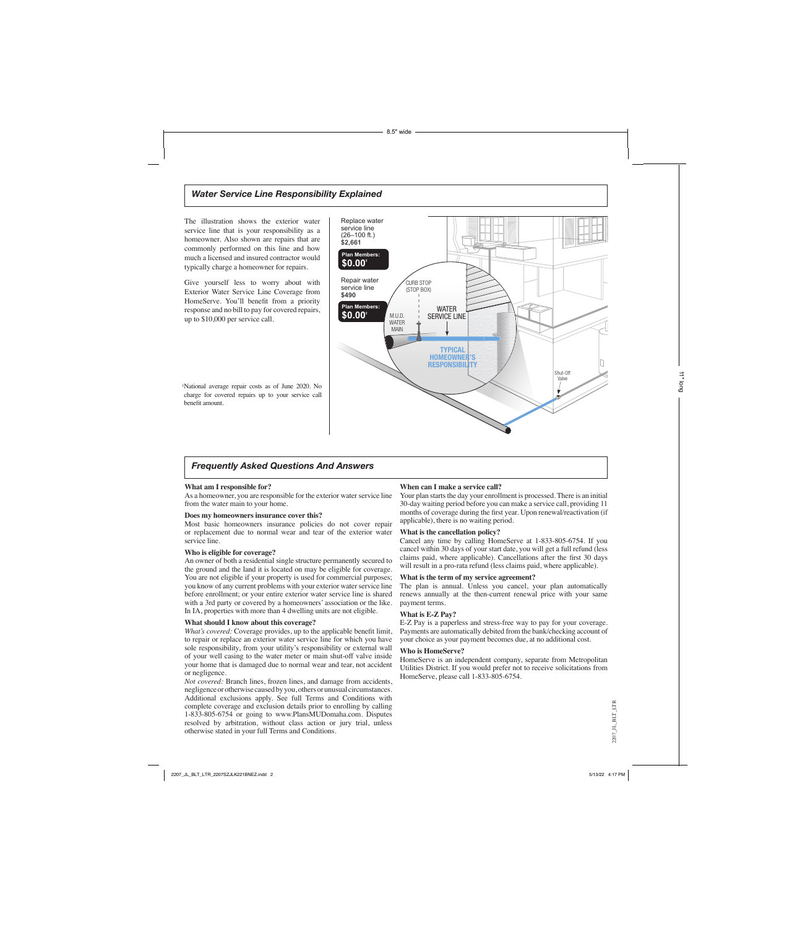## *Water Service Line Responsibility Explained*

Replace water service line (26–100 ft.) **\$2,661 Plan Members:** 

The illustration shows the exterior water service line that is your responsibility as a homeowner. Also shown are repairs that are commonly performed on this line and how much a licensed and insured contractor would typically charge a homeowner for repairs.

Give yourself less to worry about with Exterior Water Service Line Coverage from HomeServe. You'll benefit from a priority response and no bill to pay for covered repairs, up to \$10,000 per service call.

Repair water service line **\$490 \$0.00‡ Plan Members: \$0.00‡** M.U.D. WATER MAIN TYPICAL HOMEOWNER'S **RESPONSIBILITY** WATER SERVICE LINE CURB STOP (STOP BOX) Shut-Off Valve

‡ National average repair costs as of June 2020. No charge for covered repairs up to your service call benefit amount.

## *Frequently Asked Questions And Answers*

#### **What am I responsible for?**

As a homeowner, you are responsible for the exterior water service line from the water main to your home.

#### **Does my homeowners insurance cover this?**

Most basic homeowners insurance policies do not cover repair or replacement due to normal wear and tear of the exterior water service line.

#### **Who is eligible for coverage?**

An owner of both a residential single structure permanently secured to the ground and the land it is located on may be eligible for coverage. You are not eligible if your property is used for commercial purposes; you know of any current problems with your exterior water service line before enrollment; or your entire exterior water service line is shared with a 3rd party or covered by a homeowners' association or the like. In IA, properties with more than 4 dwelling units are not eligible.

#### **What should I know about this coverage?**

*What's covered:* Coverage provides, up to the applicable benefit limit, to repair or replace an exterior water service line for which you have sole responsibility, from your utility's responsibility or external wall of your well casing to the water meter or main shut-off valve inside your home that is damaged due to normal wear and tear, not accident or negligence.

*Not covered:* Branch lines, frozen lines, and damage from accidents, negligence or otherwise caused by you, others or unusual circumstances. Additional exclusions apply. See full Terms and Conditions with complete coverage and exclusion details prior to enrolling by calling 1-833-805-6754 or going to www.PlansMUDomaha.com. Disputes resolved by arbitration, without class action or jury trial, unless otherwise stated in your full Terms and Conditions.

#### **When can I make a service call?**

Your plan starts the day your enrollment is processed. There is an initial 30-day waiting period before you can make a service call, providing 11 months of coverage during the first year. Upon renewal/reactivation (if applicable), there is no waiting period.

#### **What is the cancellation policy?**

Cancel any time by calling HomeServe at 1-833-805-6754. If you cancel within 30 days of your start date, you will get a full refund (less claims paid, where applicable). Cancellations after the first 30 days will result in a pro-rata refund (less claims paid, where applicable).

#### **What is the term of my service agreement?**

The plan is annual. Unless you cancel, your plan automatically renews annually at the then-current renewal price with your same payment terms.

#### **What is E-Z Pay?**

E-Z Pay is a paperless and stress-free way to pay for your coverage. Payments are automatically debited from the bank/checking account of your choice as your payment becomes due, at no additional cost.

#### **Who is HomeServe?**

HomeServe is an independent company, separate from Metropolitan Utilities District. If you would prefer not to receive solicitations from HomeServe, please call 1-833-805-6754.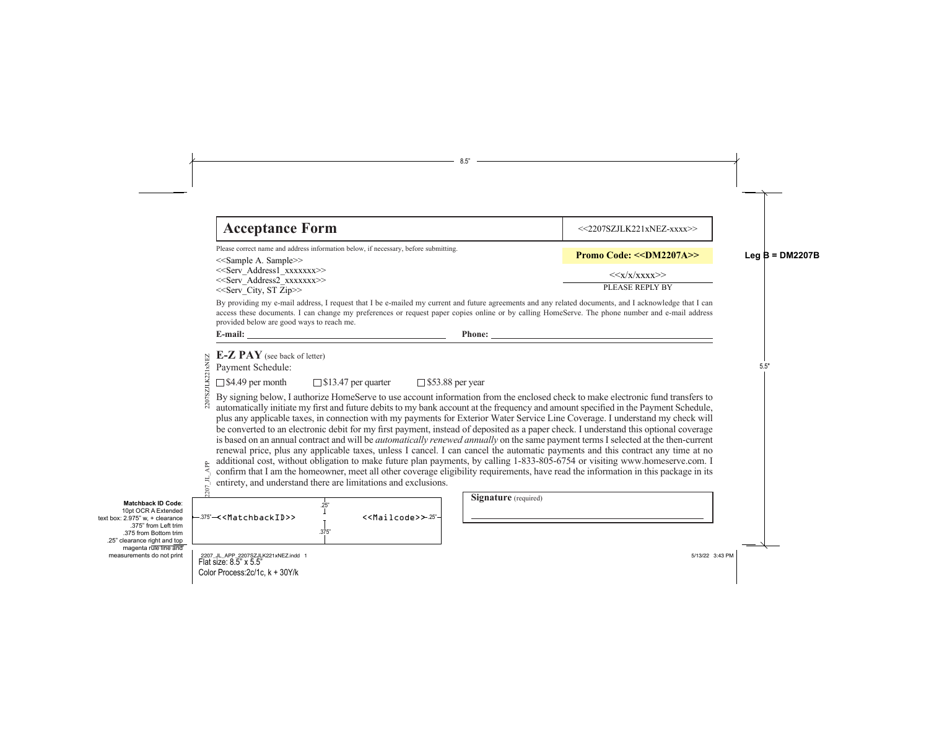# **Acceptance Form**

Please correct name and address information below, if necessary, before submitting.

<<Sample A. Sample>> <<Serv\_Address1\_xxxxxxx>> <<Serv\_Address2\_xxxxxxx>> <<Serv\_City, ST Zip>> PLEASE REPLY BY

By providing my e-mail address, I request that I be e-mailed my current and future agreements and any related documents, and I acknowledge that I can access these documents. I can change my preferences or request paper copies online or by calling HomeServe. The phone number and e-mail address provided below are good ways to reach me.

**E-Z PAY** (see back of letter) 2207SZJLK221xNEZ 2207SZJLK221xNEZ Payment Schedule:

**Ad** 

 $\Box$  \$4.49 per month  $\Box$  \$13.47 per quarter  $\Box$  \$53.88 per year

By signing below, I authorize HomeServe to use account information from the enclosed check to make electronic fund transfers to automatically initiate my first and future debits to my bank account at the frequency and amount specified in the Payment Schedule, plus any applicable taxes, in connection with my payments for Exterior Water Service Line Coverage. I understand my check will be converted to an electronic debit for my first payment, instead of deposited as a paper check. I understand this optional coverage is based on an annual contract and will be *automatically renewed annually* on the same payment terms I selected at the then-current renewal price, plus any applicable taxes, unless I cancel. I can cancel the automatic payments and this contract any time at no additional cost, without obligation to make future plan payments, by calling 1-833-805-6754 or visiting www.homeserve.com. I confirm that I am the homeowner, meet all other coverage eligibility requirements, have read the information in this package in its entirety, and understand there are limitations and exclusions.

|                                        |               | additional cost, without obligation to make future plan payi<br>confirm that I am the homeowner, meet all other coverage el<br>entirety, and understand there are limitations and exclusions. |
|----------------------------------------|---------------|-----------------------------------------------------------------------------------------------------------------------------------------------------------------------------------------------|
| -375"< <matchbackid>&gt;</matchbackid> | .25'<br>.375" | $<<$ Mailcode> $>>$ -25" $\vdash$                                                                                                                                                             |

| <b>Signature</b> (required) |
|-----------------------------|
|                             |
|                             |

 $<<$ 2207SZJLK221xNEZ-xxxx $>>$ 

**Promo Code: <<DM2207A>>** 

 $<>$ 

**E-mail: Phone:**